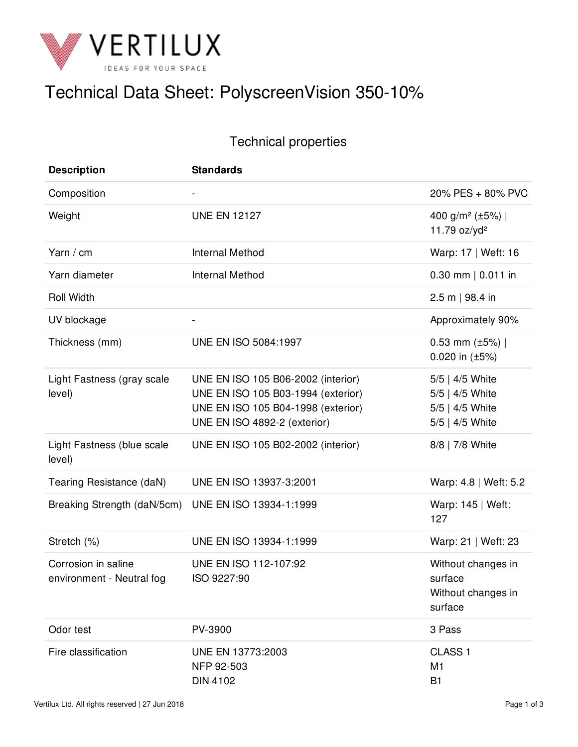

# Technical Data Sheet: PolyscreenVision 350-10%

## Technical properties

| <b>Description</b>                               | <b>Standards</b>                                                                                                                               |                                                                          |
|--------------------------------------------------|------------------------------------------------------------------------------------------------------------------------------------------------|--------------------------------------------------------------------------|
| Composition                                      | $\blacksquare$                                                                                                                                 | 20% PES + 80% PVC                                                        |
| Weight                                           | <b>UNE EN 12127</b>                                                                                                                            | 400 g/m <sup>2</sup> (±5%)  <br>11.79 oz/yd <sup>2</sup>                 |
| Yarn / cm                                        | <b>Internal Method</b>                                                                                                                         | Warp: 17   Weft: 16                                                      |
| Yarn diameter                                    | <b>Internal Method</b>                                                                                                                         | $0.30$ mm   0.011 in                                                     |
| <b>Roll Width</b>                                |                                                                                                                                                | $2.5 m$   98.4 in                                                        |
| UV blockage                                      |                                                                                                                                                | Approximately 90%                                                        |
| Thickness (mm)                                   | UNE EN ISO 5084:1997                                                                                                                           | 0.53 mm $(\pm 5\%)$  <br>0.020 in $(\pm 5\%)$                            |
| Light Fastness (gray scale<br>level)             | UNE EN ISO 105 B06-2002 (interior)<br>UNE EN ISO 105 B03-1994 (exterior)<br>UNE EN ISO 105 B04-1998 (exterior)<br>UNE EN ISO 4892-2 (exterior) | 5/5   4/5 White<br>5/5   4/5 White<br>5/5   4/5 White<br>5/5   4/5 White |
| Light Fastness (blue scale<br>level)             | UNE EN ISO 105 B02-2002 (interior)                                                                                                             | 8/8   7/8 White                                                          |
| Tearing Resistance (daN)                         | UNE EN ISO 13937-3:2001                                                                                                                        | Warp: 4.8   Weft: 5.2                                                    |
| Breaking Strength (daN/5cm)                      | UNE EN ISO 13934-1:1999                                                                                                                        | Warp: 145   Weft:<br>127                                                 |
| Stretch (%)                                      | UNE EN ISO 13934-1:1999                                                                                                                        | Warp: 21   Weft: 23                                                      |
| Corrosion in saline<br>environment - Neutral fog | UNE EN ISO 112-107:92<br>ISO 9227:90                                                                                                           | Without changes in<br>surface<br>Without changes in<br>surface           |
| Odor test                                        | PV-3900                                                                                                                                        | 3 Pass                                                                   |
| Fire classification                              | UNE EN 13773:2003<br>NFP 92-503<br><b>DIN 4102</b>                                                                                             | CLASS <sub>1</sub><br>M1<br><b>B1</b>                                    |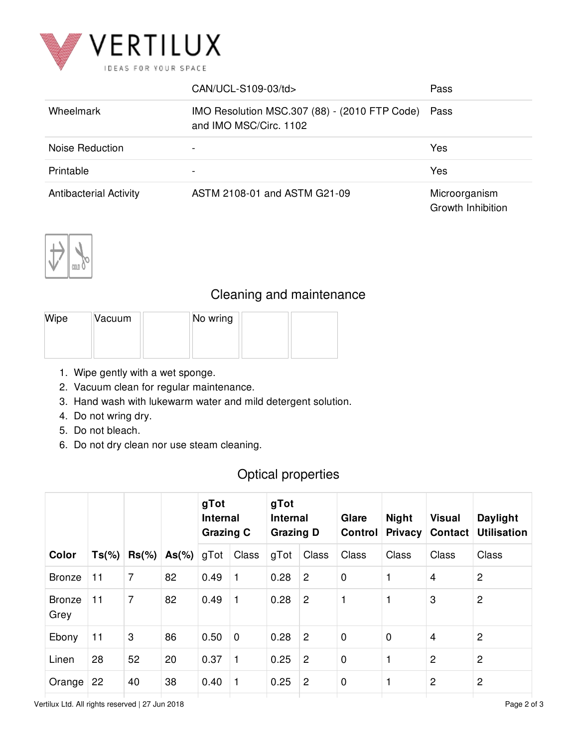

|                               | CAN/UCL-S109-03/td>                                                     | Pass                               |
|-------------------------------|-------------------------------------------------------------------------|------------------------------------|
| Wheelmark                     | IMO Resolution MSC.307 (88) - (2010 FTP Code)<br>and IMO MSC/Circ. 1102 | Pass                               |
| Noise Reduction               |                                                                         | Yes                                |
| Printable                     | $\,$                                                                    | Yes                                |
| <b>Antibacterial Activity</b> | ASTM 2108-01 and ASTM G21-09                                            | Microorganism<br>Growth Inhibition |



#### Cleaning and maintenance

| Wipe | Vacuum | No wring |  |
|------|--------|----------|--|
|      |        |          |  |
|      |        |          |  |

- 1. Wipe gently with a wet sponge.
- 2. Vacuum clean for regular maintenance.
- 3. Hand wash with lukewarm water and mild detergent solution.
- 4. Do not wring dry.
- 5. Do not bleach.
- 6. Do not dry clean nor use steam cleaning.

## Optical properties

|                       |          |           |          | gTot<br><b>Internal</b><br><b>Grazing C</b> |             | gTot<br><b>Internal</b><br><b>Grazing D</b> |                | Glare<br>Control | <b>Night</b><br><b>Privacy</b> | <b>Visual</b><br><b>Contact</b> | Daylight<br><b>Utilisation</b> |
|-----------------------|----------|-----------|----------|---------------------------------------------|-------------|---------------------------------------------|----------------|------------------|--------------------------------|---------------------------------|--------------------------------|
| Color                 | $Ts(\%)$ | $Rs(\% )$ | $As(\%)$ | gTot                                        | Class       | gTot                                        | Class          | Class            | Class                          | Class                           | Class                          |
| <b>Bronze</b>         | 11       | 7         | 82       | 0.49                                        | 1           | 0.28                                        | $\overline{c}$ | $\mathbf 0$      | 1                              | $\overline{4}$                  | $\overline{2}$                 |
| <b>Bronze</b><br>Grey | 11       | 7         | 82       | 0.49                                        | 1           | 0.28                                        | $\overline{2}$ | 1                |                                | 3                               | $\overline{2}$                 |
| Ebony                 | 11       | 3         | 86       | 0.50                                        | $\mathbf 0$ | 0.28                                        | $\overline{c}$ | $\mathbf 0$      | $\mathbf 0$                    | $\overline{4}$                  | $\overline{2}$                 |
| Linen                 | 28       | 52        | 20       | 0.37                                        | 1           | 0.25                                        | $\overline{c}$ | $\mathbf 0$      |                                | $\overline{2}$                  | $\overline{2}$                 |
| Orange                | 22       | 40        | 38       | 0.40                                        | 1           | 0.25                                        | $\overline{2}$ | $\mathbf 0$      | 1                              | $\overline{2}$                  | 2                              |

Vertilux Ltd. All rights reserved | 27 Jun 2018 Page 2 of 3